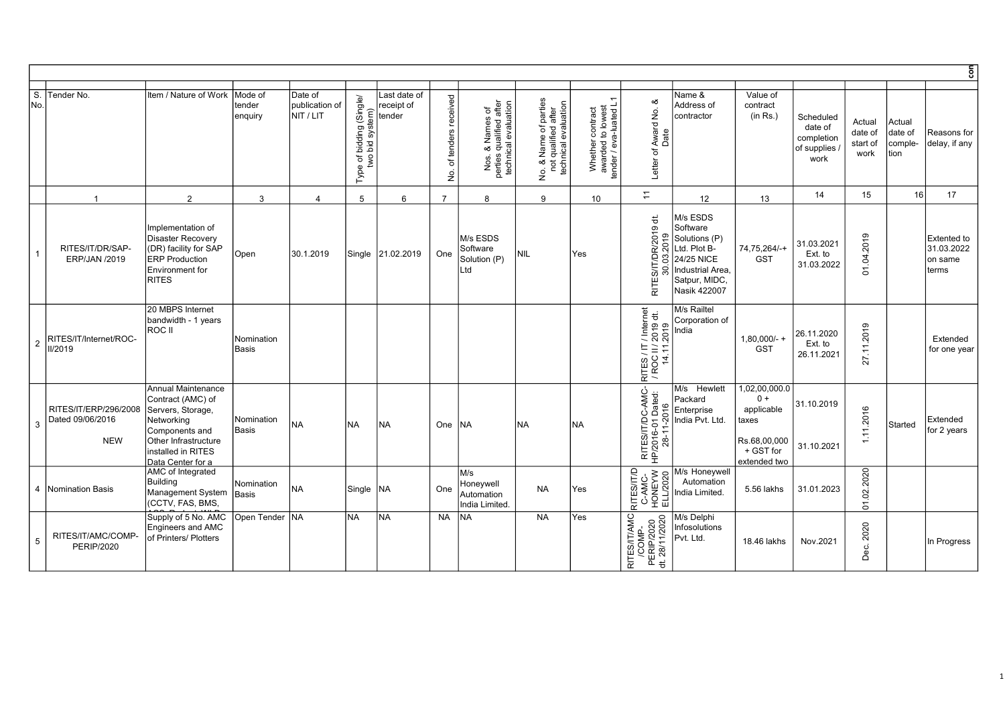|                |                                                         |                                                                                                                                                                 |                              |                                        |                                                              |                                      |                                                      |                                                                    |                                                                                                     |                                                                 |                                                                                                            |                                                                                                                          |                                                                                            |                                                           |                                       |                                      | $\overline{5}$                                       |
|----------------|---------------------------------------------------------|-----------------------------------------------------------------------------------------------------------------------------------------------------------------|------------------------------|----------------------------------------|--------------------------------------------------------------|--------------------------------------|------------------------------------------------------|--------------------------------------------------------------------|-----------------------------------------------------------------------------------------------------|-----------------------------------------------------------------|------------------------------------------------------------------------------------------------------------|--------------------------------------------------------------------------------------------------------------------------|--------------------------------------------------------------------------------------------|-----------------------------------------------------------|---------------------------------------|--------------------------------------|------------------------------------------------------|
| S.<br>No.      | Tender No.                                              | Item / Nature of Work                                                                                                                                           | Mode of<br>tender<br>enquiry | Date of<br>publication of<br>NIT / LIT | f bidding (Single/<br>bid system)<br>Type of <b>t</b><br>two | Last date of<br>receipt of<br>tender | received<br>tenders<br>$\overline{\sigma}$<br>غ<br>ع | Nos. & Names of<br>perties qualified after<br>technical evaluation | parties<br>after<br>No. & Name of parties<br>not qualified after<br>technical evaluation<br>No. & I | Whether contract<br>awarded to lowest<br>tender / eva-luated L1 | ళ<br>Award No.<br>Date<br>Letter of                                                                        | Name &<br>Address of<br>contractor                                                                                       | Value of<br>contract<br>(in Rs.)                                                           | Scheduled<br>date of<br>completion<br>of supplies<br>work | Actual<br>date of<br>start of<br>work | Actual<br>date of<br>comple-<br>tion | Reasons for<br>delay, if any                         |
|                | $\overline{1}$                                          | 2                                                                                                                                                               | 3                            | $\overline{4}$                         | 5                                                            | 6                                    | $\overline{7}$                                       | 8                                                                  | 9                                                                                                   | 10 <sup>1</sup>                                                 | $\overline{z}$                                                                                             | 12 <sup>°</sup>                                                                                                          | 13                                                                                         | 14                                                        | 15                                    | 16                                   | 17                                                   |
|                | RITES/IT/DR/SAP-<br><b>ERP/JAN /2019</b>                | Implementation of<br>Disaster Recovery<br>(DR) facility for SAP<br><b>ERP</b> Production<br>Environment for<br><b>RITES</b>                                     | Open                         | 30.1.2019                              | Single                                                       | 21.02.2019                           | One                                                  | M/s ESDS<br>Software<br>Solution (P)<br>Ltd                        | NIL                                                                                                 | Yes                                                             | $\overleftrightarrow{\sigma}$<br>R/2019<br>ē,<br>$\overline{c}$<br>SIT/DI<br>3<br>$\overline{30}$<br>RITE: | M/s ESDS<br>Software<br>Solutions (P)<br>Ltd. Plot B-<br>24/25 NICE<br>Industrial Area.<br>Satpur, MIDC,<br>Nasik 422007 | 74,75,264/-+<br><b>GST</b>                                                                 | 31.03.2021<br>Ext. to<br>31.03.2022                       | 2019<br>$\overline{5}$<br>ΣÓ.         |                                      | <b>Extented to</b><br>31.03.2022<br>on same<br>terms |
| $\overline{2}$ | RITES/IT/Internet/ROC-<br><b>II/2019</b>                | 20 MBPS Internet<br>bandwidth - 1 years<br>ROC II                                                                                                               | Nomination<br>Basis          |                                        |                                                              |                                      |                                                      |                                                                    |                                                                                                     |                                                                 | RITES / IT / Internet<br>/ ROC II / 2019 dt.<br>14.11.2019                                                 | M/s Railtel<br>Corporation of<br>India                                                                                   | $1,80,000/-$ +<br><b>GST</b>                                                               | 26.11.2020<br>Ext. to<br>26.11.2021                       | 2019<br>$\frac{1}{2}$<br>27           |                                      | Extended<br>for one year                             |
| $\mathbf{3}$   | RITES/IT/ERP/296/2008<br>Dated 09/06/2016<br><b>NEW</b> | Annual Maintenance<br>Contract (AMC) of<br>Servers, Storage,<br>Networkina<br>Components and<br>Other Infrastructure<br>installed in RITES<br>Data Center for a | Nomination<br>Basis          | <b>NA</b>                              | <b>NA</b>                                                    | <b>NA</b>                            | One                                                  | NA                                                                 | <b>INA</b>                                                                                          | <b>NA</b>                                                       | RITES/IT/DC-AMC-<br>HP/2016-01 Dated:<br>28-11-2016                                                        | M/s Hewlett<br>Packard<br>Enterprise<br>India Pvt. Ltd.                                                                  | 1,02,00,000.0<br>$0 +$<br>applicable<br>taxes<br>Rs.68,00,000<br>+ GST for<br>extended two | 31.10.2019<br>31.10.2021                                  | 1.11.2016                             | Started                              | Extended<br>for 2 years                              |
|                | 4 Nomination Basis                                      | AMC of Integrated<br><b>Building</b><br>Management System<br>(CCTV, FAS, BMS,                                                                                   | Nomination<br>Basis          | INA.                                   | Single                                                       | INA.                                 | One                                                  | M/s<br>Honeywell<br>Automation<br>India Limited.                   | <b>NA</b>                                                                                           | Yes                                                             | RITESIT/D<br>C-AMC-<br>HONEYW<br>ELL/2020                                                                  | M/s Honeywell<br>Automation<br>India Limited.                                                                            | 5.56 lakhs                                                                                 | 31.01.2023                                                | 2020<br>01.02                         |                                      |                                                      |
| 5              | RITES/IT/AMC/COMP-<br><b>PERIP/2020</b>                 | Supply of 5 No. AMC<br>Engineers and AMC<br>of Printers/ Plotters                                                                                               | Open Tender   NA             |                                        | <b>NA</b>                                                    | <b>NA</b>                            | <b>NA</b>                                            | <b>NA</b>                                                          | <b>NA</b>                                                                                           | Yes                                                             | <b>RITES/IT/AMC</b><br>/COMP-<br>PERIP/2020<br>dt. 28/11/2020<br>$\overleftrightarrow{\mathtt{c}}$         | M/s Delphi<br>Infosolutions<br>Pvt. Ltd.                                                                                 | 18.46 lakhs                                                                                | Nov.2021                                                  | 2020<br>Dec.                          |                                      | In Progress                                          |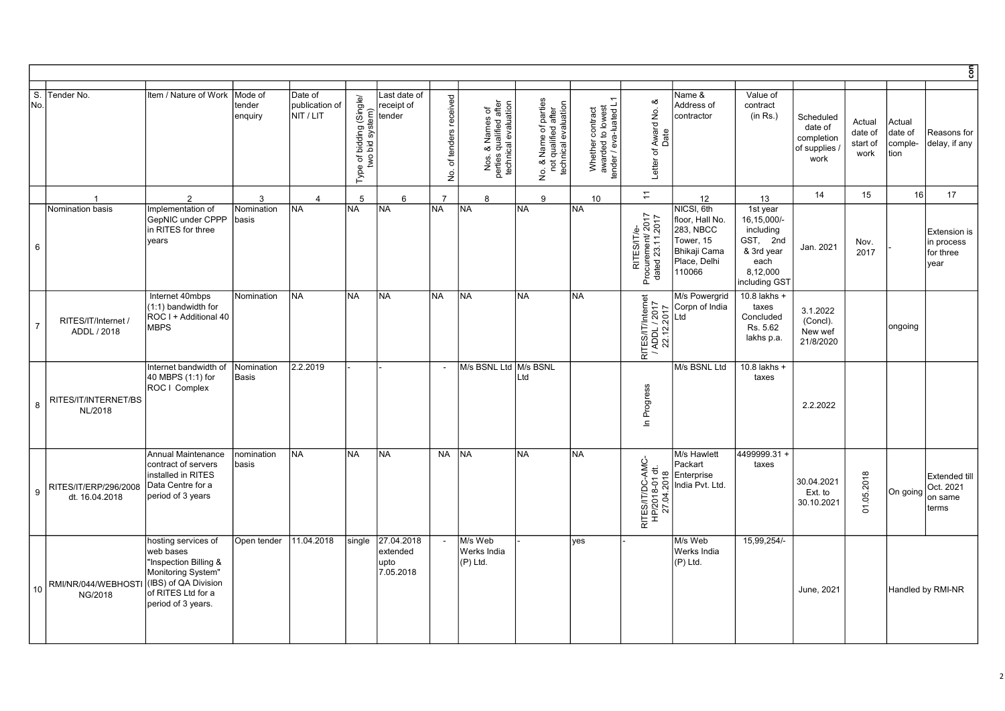|                         |                                         |                                                                                                                                                     |                              |                                        |                                             |                                             |                                                                 |                                                                    |           |                                                                                                                  |                                                                 |                                                      |                                                                                                   |                                                                                                     |                                                           |                                       |                                      | $\overline{\epsilon}$                                  |
|-------------------------|-----------------------------------------|-----------------------------------------------------------------------------------------------------------------------------------------------------|------------------------------|----------------------------------------|---------------------------------------------|---------------------------------------------|-----------------------------------------------------------------|--------------------------------------------------------------------|-----------|------------------------------------------------------------------------------------------------------------------|-----------------------------------------------------------------|------------------------------------------------------|---------------------------------------------------------------------------------------------------|-----------------------------------------------------------------------------------------------------|-----------------------------------------------------------|---------------------------------------|--------------------------------------|--------------------------------------------------------|
| $\overline{s}$ .<br>No. | Tender No.                              | Item / Nature of Work                                                                                                                               | Mode of<br>tender<br>enquiry | Date of<br>publication of<br>NIT / LIT | Type of bidding (Single/<br>two bid system) | Last date of<br>receipt of<br>tender        | received<br>of tenders<br>$\frac{\dot{\mathsf{Q}}}{\mathsf{Z}}$ | Nos. & Names of<br>perties qualified after<br>technical evaluation |           | f parties<br>after<br>No. & Name of parties<br>not qualified after<br>technical evaluation<br>$\dot{\mathsf{g}}$ | Whether contract<br>awarded to lowest<br>tender / eva-luated L1 | ∞<br>Award No.<br>Letter of                          | Name &<br>Address of<br>contractor                                                                | Value of<br>contract<br>(in Rs.)                                                                    | Scheduled<br>date of<br>completion<br>of supplies<br>work | Actual<br>date of<br>start of<br>work | Actual<br>date of<br>comple-<br>tion | Reasons for<br>delay, if any                           |
|                         | $\overline{1}$                          | $\overline{2}$                                                                                                                                      | 3                            | $\overline{4}$                         | 5                                           | 6                                           | $\overline{7}$                                                  | 8                                                                  |           | 9                                                                                                                | 10                                                              | $\overline{a}$                                       | 12                                                                                                | 13                                                                                                  | 14                                                        | 15                                    | 16                                   | 17                                                     |
| $6\phantom{.0}$         | Nomination basis                        | Implementation of<br>GepNIC under CPPP<br>in RITES for three<br>years                                                                               | Nomination<br>basis          | <b>NA</b>                              | NA                                          | <b>NA</b>                                   | <b>NA</b>                                                       | <b>INA</b>                                                         | <b>NA</b> |                                                                                                                  | INA.                                                            | RITES/IT/e-<br>Procurement/ 2017<br>dated 23.11.2017 | NICSI, 6th<br>floor, Hall No.<br>283, NBCC<br>Tower, 15<br>Bhikaji Cama<br>Place, Delhi<br>110066 | 1st year<br>16,15,000/-<br>including<br>GST, 2nd<br>& 3rd year<br>each<br>8,12,000<br>including GST | Jan. 2021                                                 | Nov.<br>2017                          |                                      | <b>Extension is</b><br>in process<br>for three<br>year |
| $\overline{7}$          | RITES/IT/Internet<br>ADDL / 2018        | Internet 40mbps<br>(1:1) bandwidth for<br>ROC I + Additional 40<br><b>MBPS</b>                                                                      | Nomination                   | INA.                                   | <b>NA</b>                                   | <b>NA</b>                                   | INA.                                                            | <b>NA</b>                                                          | <b>NA</b> |                                                                                                                  | INA.                                                            | RITES/IT/Internet<br>/ ADDL / 2017<br>22.12.2017     | M/s Powergrid<br>Corpn of India<br>Ltd                                                            | $10.8$ lakhs +<br>taxes<br>Concluded<br>Rs. 5.62<br>lakhs p.a.                                      | 3.1.2022<br>(Concl).<br>New wef<br>21/8/2020              |                                       | ongoing                              |                                                        |
| 8                       | RITES/IT/INTERNET/BS<br>NL/2018         | Internet bandwidth of<br>40 MBPS (1:1) for<br>ROC   Complex                                                                                         | Nomination<br>Basis          | 2.2.2019                               |                                             |                                             | $\overline{\phantom{a}}$                                        | M/s BSNL Ltd M/s BSNL                                              | Ltd       |                                                                                                                  |                                                                 | In Progress                                          | M/s BSNL Ltd                                                                                      | 10.8 lakhs +<br>taxes                                                                               | 2.2.2022                                                  |                                       |                                      |                                                        |
| 9                       | RITES/IT/ERP/296/2008<br>dt. 16.04.2018 | Annual Maintenance<br>contract of servers<br>installed in RITES<br>Data Centre for a<br>period of 3 years                                           | nomination<br>basis          | NA                                     | <b>NA</b>                                   | <b>NA</b>                                   | <b>NA</b>                                                       | <b>INA</b>                                                         | <b>NA</b> |                                                                                                                  | NA)                                                             | RITES/IT/DC-AMC-<br>HP/2018-01 dt.<br>27.04.2018     | M/s Hawlett<br>Packart<br>Enterprise<br>India Pvt. Ltd.                                           | 4499999.31+<br>taxes                                                                                | 30.04.2021<br>Ext. to<br>30.10.2021                       | 01.05.2018                            | On going                             | <b>Extended till</b><br>Oct. 2021<br>on same<br>terms  |
| 10 <sup>10</sup>        | RMI/NR/044/WEBHOSTI<br>NG/2018          | hosting services of<br>web bases<br>"Inspection Billing &<br>Monitoring System"<br>(IBS) of QA Division<br>of RITES Ltd for a<br>period of 3 years. | Open tender                  | 11.04.2018                             | single                                      | 27.04.2018<br>extended<br>upto<br>7.05.2018 | $\overline{\phantom{a}}$                                        | M/s Web<br>Werks India<br>(P) Ltd.                                 |           |                                                                                                                  | <u>ves</u>                                                      |                                                      | M/s Web<br>Werks India<br>$(P)$ Ltd.                                                              | 15,99,254/-                                                                                         | June, 2021                                                |                                       |                                      | Handled by RMI-NR                                      |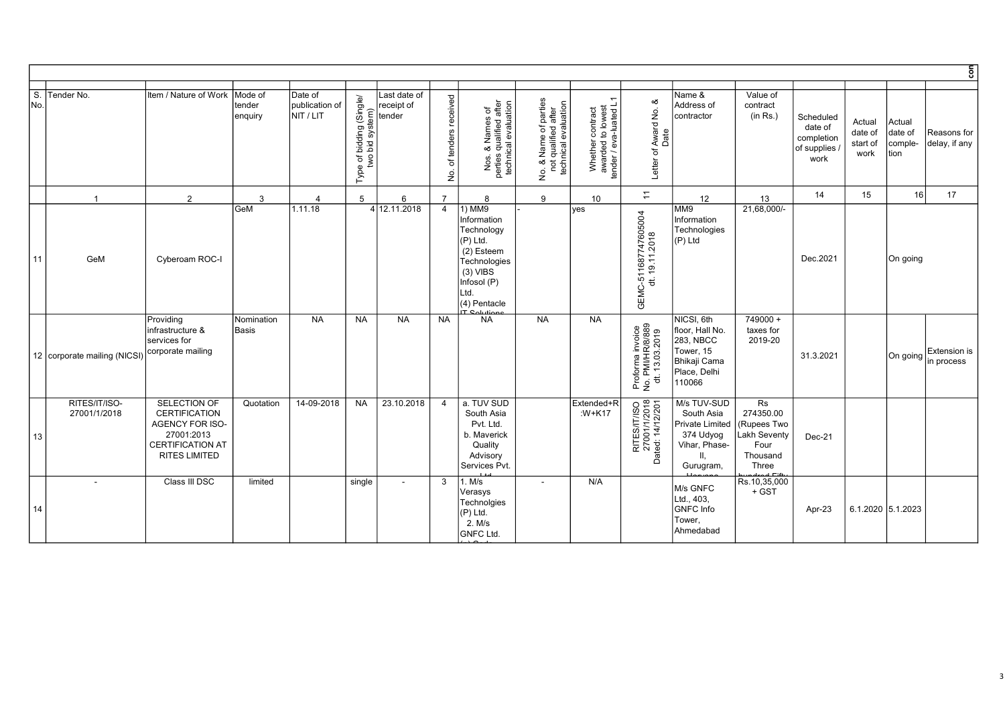|           |                               |                                                                                                                          |                            |                                        |                                             |                                      |                                                              |                                                                                                                                    |                                                                           |                                                                 |                                                        |                                                                                                   |                                                                                    |                                                           |                                       |                                      | ξ                                         |
|-----------|-------------------------------|--------------------------------------------------------------------------------------------------------------------------|----------------------------|----------------------------------------|---------------------------------------------|--------------------------------------|--------------------------------------------------------------|------------------------------------------------------------------------------------------------------------------------------------|---------------------------------------------------------------------------|-----------------------------------------------------------------|--------------------------------------------------------|---------------------------------------------------------------------------------------------------|------------------------------------------------------------------------------------|-----------------------------------------------------------|---------------------------------------|--------------------------------------|-------------------------------------------|
| S.<br>No. | Tender No.                    | Item / Nature of Work Mode of                                                                                            | Itender<br>enquiry         | Date of<br>publication of<br>NIT / LIT | Type of bidding (Single/<br>two bid system) | Last date of<br>receipt of<br>tender | of tenders received<br>$\frac{\dot{\mathsf{Q}}}{\mathsf{Z}}$ | Nos. & Names of<br>perties qualified after<br>technical evaluation                                                                 | No. & Name of parties<br>not qualified after<br>technical evaluation<br>ġ | Whether contract<br>awarded to lowest<br>tender / eva-luated L1 | ∞<br>Award No.<br>Date<br>Letter of                    | Name &<br>Address of<br>contractor                                                                | Value of<br>contract<br>(in Rs.)                                                   | Scheduled<br>date of<br>completion<br>of supplies<br>work | Actual<br>date of<br>start of<br>work | Actual<br>date of<br>comple-<br>tion | Reasons for<br>delay, if any              |
|           | $\overline{1}$                | $\overline{2}$                                                                                                           | 3                          | $\Delta$                               | $5\phantom{.0}$                             | 6                                    | $\overline{7}$                                               | 8                                                                                                                                  | 9                                                                         | 10 <sup>°</sup>                                                 | $\overline{\tau}$                                      | 12                                                                                                | 13                                                                                 | 14                                                        | 15                                    | 16                                   | 17                                        |
| 11        | GeM                           | Cyberoam ROC-I                                                                                                           | <b>GeM</b>                 | 1.11.18                                |                                             | 4 12.11.2018                         | $\overline{4}$                                               | 1) MM9<br>Information<br>Technology<br>(P) Ltd.<br>(2) Esteem<br>Technologies<br>$(3)$ VIBS<br>Infosol (P)<br>Ltd.<br>(4) Pentacle |                                                                           | yes                                                             | GEMC-511687747605004<br>dt. 19.11.2018                 | MM9<br>Information<br>Technologies<br>(P) Ltd                                                     | 21,68,000/-                                                                        | Dec.2021                                                  |                                       | On going                             |                                           |
|           | 12 corporate mailing (NICSI   | Providing<br>infrastructure &<br>services for<br>corporate mailing                                                       | Nomination<br><b>Basis</b> | <b>NA</b>                              | <b>NA</b>                                   | <b>NA</b>                            | <b>NA</b>                                                    | <b>NA</b>                                                                                                                          | <b>NA</b>                                                                 | <b>NA</b>                                                       | Proforma invoice<br>No. PMI/HR/8/889<br>dt. 13.03.2019 | NICSI, 6th<br>floor, Hall No.<br>283, NBCC<br>Tower, 15<br>Bhikaji Cama<br>Place, Delhi<br>110066 | 749000+<br>taxes for<br>2019-20                                                    | 31.3.2021                                                 |                                       |                                      | Extension is<br>$ On going _{in process}$ |
| 13        | RITES/IT/ISO-<br>27001/1/2018 | SELECTION OF<br><b>CERTIFICATION</b><br>AGENCY FOR ISO-<br>27001:2013<br><b>CERTIFICATION AT</b><br><b>RITES LIMITED</b> | Quotation                  | 14-09-2018                             | NA                                          | 23.10.2018                           | $\overline{4}$                                               | a. TUV SUD<br>South Asia<br>Pvt. Ltd.<br>b. Maverick<br>Quality<br>Advisory<br>Services Pvt.                                       |                                                                           | Extended+R<br>:W+K17                                            | RITES/IT/ISO<br>27001/1/2018<br>Dated: 14/12/201       | M/s TUV-SUD<br>South Asia<br>Private Limited<br>374 Udyog<br>Vihar, Phase-<br>Gurugram,           | Rs<br>274350.00<br>Rupees Two<br>Lakh Seventy<br>Four<br>Thousand<br>Three<br>a ma | Dec-21                                                    |                                       |                                      |                                           |
| 14        |                               | Class III DSC                                                                                                            | limited                    |                                        | single                                      | $\overline{\phantom{a}}$             | 3                                                            | 1. M/s<br>√erasys<br>Technolgies<br>$(P)$ Ltd.<br>2. M/s<br><b>GNFC Ltd.</b>                                                       | $\overline{\phantom{a}}$                                                  | N/A                                                             |                                                        | M/s GNFC<br>Ltd., 403,<br>GNFC Info<br>Tower.<br>Ahmedabad                                        | Rs.10,35,000<br>+ GST                                                              | Apr-23                                                    | 6.1.2020 5.1.2023                     |                                      |                                           |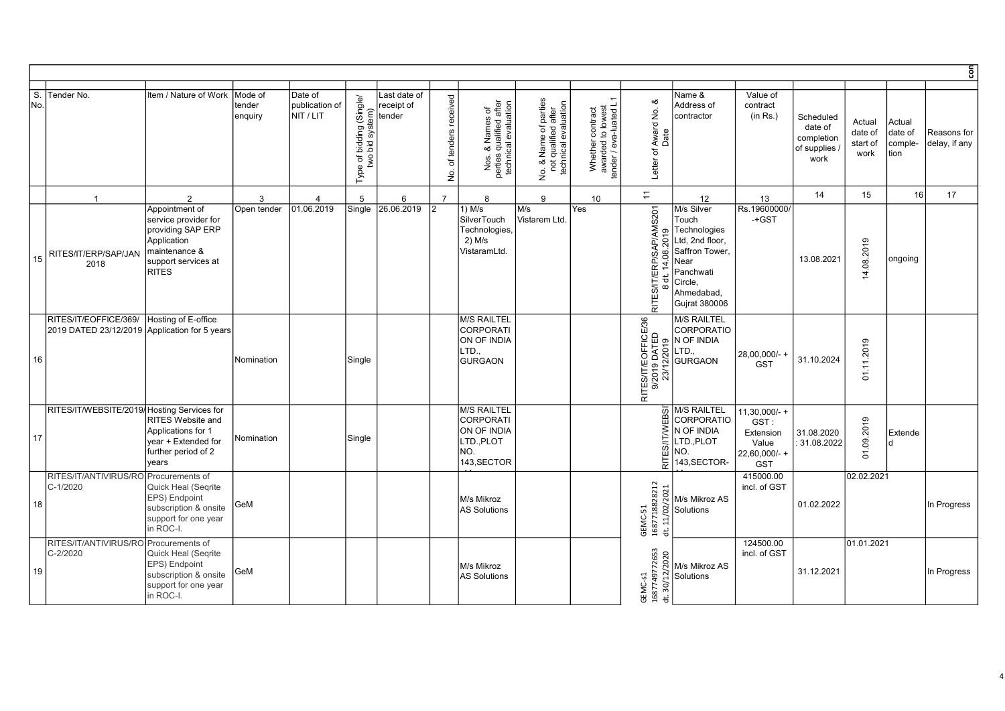|          |                                                                        |                                                                                                                                    |                              |                                        |                                             |                                      |                                                             |                                                                                           |                                                                      |                                                                 |                                                                         |                                                                                                                                         |                                                                            |                                                           |                                       |                                      | $\overline{5}$               |
|----------|------------------------------------------------------------------------|------------------------------------------------------------------------------------------------------------------------------------|------------------------------|----------------------------------------|---------------------------------------------|--------------------------------------|-------------------------------------------------------------|-------------------------------------------------------------------------------------------|----------------------------------------------------------------------|-----------------------------------------------------------------|-------------------------------------------------------------------------|-----------------------------------------------------------------------------------------------------------------------------------------|----------------------------------------------------------------------------|-----------------------------------------------------------|---------------------------------------|--------------------------------------|------------------------------|
| S.<br>No | Tender No.                                                             | Item / Nature of Work                                                                                                              | Mode of<br>tender<br>enquiry | Date of<br>publication of<br>NIT / LIT | Type of bidding (Single/<br>two bid system) | Last date of<br>receipt of<br>tender | received<br>tenders<br>$\overline{\sigma}$<br>$\frac{1}{2}$ | Nos. & Names of<br>perties qualified after<br>technical evaluation                        | No. & Name of parties<br>not qualified after<br>technical evaluation | Whether contract<br>awarded to lowest<br>tender / eva-luated L1 | ∞<br>f Award No. {<br>Date<br>Letter of                                 | Name &<br>Address of<br>contractor                                                                                                      | Value of<br>contract<br>(in Rs.)                                           | Scheduled<br>date of<br>completion<br>of supplies<br>work | Actual<br>date of<br>start of<br>work | Actual<br>date of<br>comple-<br>tion | Reasons for<br>delay, if any |
|          | $\overline{1}$                                                         | 2                                                                                                                                  | 3                            | $\overline{4}$                         | 5                                           | 6                                    | $\overline{7}$                                              | 8                                                                                         | 9                                                                    | 10                                                              | $\overline{z}$                                                          | 12                                                                                                                                      | 13                                                                         | 14                                                        | 15                                    | 16                                   | 17                           |
| 15       | RITES/IT/ERP/SAP/JAN<br>2018                                           | Appointment of<br>service provider for<br>providing SAP ERP<br>Application<br>maintenance &<br>support services at<br><b>RITES</b> | Open tender                  | 01.06.2019                             | Single                                      | 26.06.2019                           |                                                             | 1) M/s<br>SilverTouch<br>Technologies<br>$2)$ M/s<br>VistaramLtd.                         | M/s<br>Vistarem Ltd                                                  | Yes                                                             | RITES/IT/ERP/SAP/AMS201<br>2019<br>14.08.<br>$\overline{t}$<br>$\infty$ | M/s Silver<br>Touch<br>Technologies<br>Ltd, 2nd floor,<br>Saffron Tower,<br>Near<br>Panchwati<br>Circle,<br>Ahmedabad,<br>Gujrat 380006 | Rs.19600000/<br>-+GST                                                      | 13.08.2021                                                | 4.08.2019                             | ongoing                              |                              |
| 16       | RITES/IT/EOFFICE/369/<br>2019 DATED 23/12/2019 Application for 5 years | Hosting of E-office                                                                                                                | Nomination                   |                                        | Single                                      |                                      |                                                             | <b>M/S RAILTEL</b><br><b>CORPORATI</b><br>ON OF INDIA<br>LTD.,<br><b>GURGAON</b>          |                                                                      |                                                                 | RITES/IT/EOFFICE/36                                                     | <b>M/S RAILTEL</b><br><b>CORPORATIO</b><br>N OF INDIA<br>LTD.,<br><b>GURGAON</b>                                                        | 28,00,000/- +<br><b>GST</b>                                                | 31.10.2024                                                | .11.2019<br>$\overline{5}$            |                                      |                              |
| 17       | RITES/IT/WEBSITE/2019/ Hosting Services for                            | <b>RITES Website and</b><br>Applications for 1<br>year + Extended for<br>further period of 2<br>years                              | Nomination                   |                                        | Single                                      |                                      |                                                             | <b>M/S RAILTEL</b><br><b>CORPORATI</b><br>ON OF INDIA<br>LTD., PLOT<br>NO.<br>143, SECTOR |                                                                      |                                                                 | 5<br>Ä<br>RITES/IT/W                                                    | <b>M/S RAILTEL</b><br><b>CORPORATIO</b><br>N OF INDIA<br>LTD., PLOT<br>NO.<br>143, SECTOR-                                              | $11,30,000/ +$<br>GST:<br>Extension<br>Value<br>22,60,000/-+<br><b>GST</b> | 31.08.2020<br>: 31.08.2022                                | 01.09.2019                            | Extende                              |                              |
| 18       | RITES/IT/ANTIVIRUS/RO<br>C-1/2020                                      | Procurements of<br>Quick Heal (Segrite<br>EPS) Endpoint<br>subscription & onsite<br>support for one year<br>in ROC-I.              | GeM                          |                                        |                                             |                                      |                                                             | M/s Mikroz<br><b>AS Solutions</b>                                                         |                                                                      |                                                                 | GEMC-51<br>1687718828212<br>dt. 11/02/2021                              | M/s Mikroz AS<br>Solutions                                                                                                              | 415000.00<br>incl. of GST                                                  | 01.02.2022                                                | 02.02.2021                            |                                      | In Progress                  |
| 19       | RITES/IT/ANTIVIRUS/RO<br>C-2/2020                                      | Procurements of<br>Quick Heal (Seqrite<br>EPS) Endpoint<br>subscription & onsite<br>support for one year<br>in ROC-I.              | GeM                          |                                        |                                             |                                      |                                                             | M/s Mikroz<br><b>AS Solutions</b>                                                         |                                                                      |                                                                 | 1687749772653<br>dt. 30/12/2020<br>GEMC-S1                              | M/s Mikroz AS<br>Solutions                                                                                                              | 124500.00<br>incl. of GST                                                  | 31.12.2021                                                | 01.01.2021                            |                                      | In Progress                  |